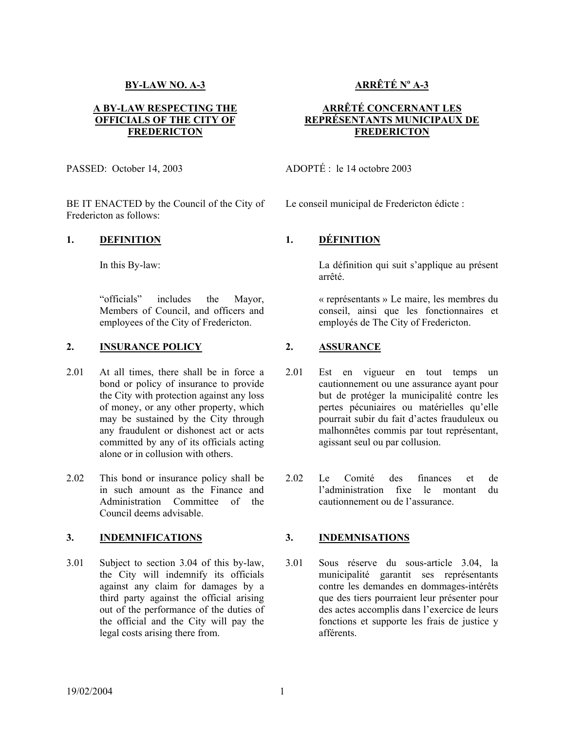## **BY-LAW NO. A-3**

### **A BY-LAW RESPECTING THE OFFICIALS OF THE CITY OF FREDERICTON**

PASSED: October 14, 2003

BE IT ENACTED by the Council of the City of Fredericton as follows:

### **1. DEFINITION 1. DÉFINITION**

"officials" includes the Mayor, Members of Council, and officers and employees of the City of Fredericton.

## **2. INSURANCE POLICY 2. ASSURANCE**

- 2.01 At all times, there shall be in force a bond or policy of insurance to provide the City with protection against any loss of money, or any other property, which may be sustained by the City through any fraudulent or dishonest act or acts committed by any of its officials acting alone or in collusion with others.
- 2.02 This bond or insurance policy shall be in such amount as the Finance and Administration Committee of the Council deems advisable.

## **3. INDEMNIFICATIONS 3. INDEMNISATIONS**

3.01 Subject to section 3.04 of this by-law, the City will indemnify its officials against any claim for damages by a third party against the official arising out of the performance of the duties of the official and the City will pay the legal costs arising there from.

# **ARRÊTÉ No A-3**

## **ARRÊTÉ CONCERNANT LES REPRÉSENTANTS MUNICIPAUX DE FREDERICTON**

ADOPTÉ : le 14 octobre 2003

Le conseil municipal de Fredericton édicte :

In this By-law: La définition qui suit s'applique au présent arrêté.

> « représentants » Le maire, les membres du conseil, ainsi que les fonctionnaires et employés de The City of Fredericton.

- 2.01 Est en vigueur en tout temps un cautionnement ou une assurance ayant pour but de protéger la municipalité contre les pertes pécuniaires ou matérielles qu'elle pourrait subir du fait d'actes frauduleux ou malhonnêtes commis par tout représentant, agissant seul ou par collusion.
- 2.02 Le Comité des finances et de l'administration fixe le montant du cautionnement ou de l'assurance.

3.01 Sous réserve du sous-article 3.04, la municipalité garantit ses représentants contre les demandes en dommages-intérêts que des tiers pourraient leur présenter pour des actes accomplis dans l'exercice de leurs fonctions et supporte les frais de justice y afférents.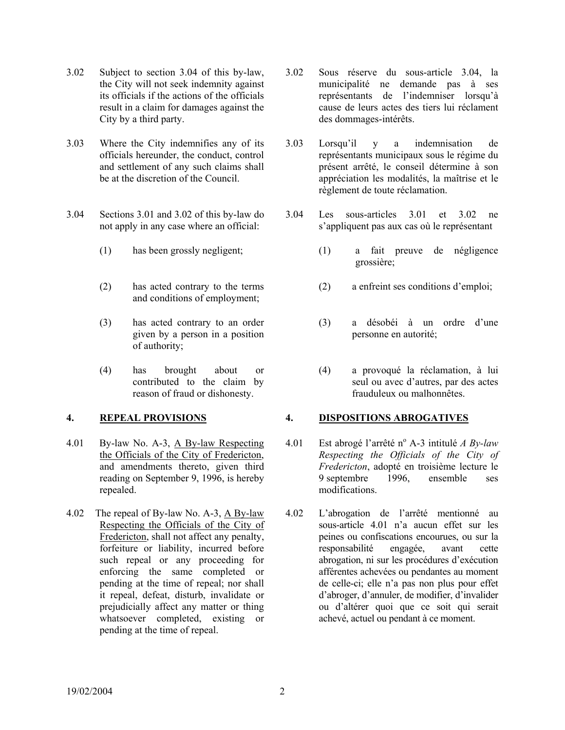- 3.02 Subject to section 3.04 of this by-law, the City will not seek indemnity against its officials if the actions of the officials result in a claim for damages against the City by a third party.
- 3.03 Where the City indemnifies any of its officials hereunder, the conduct, control and settlement of any such claims shall be at the discretion of the Council.
- 3.04 Sections 3.01 and 3.02 of this by-law do not apply in any case where an official:
	-
	- (2) has acted contrary to the terms and conditions of employment;
	- (3) has acted contrary to an order given by a person in a position of authority;
	- (4) has brought about or contributed to the claim by reason of fraud or dishonesty.

- 4.01 By-law No. A-3, A By-law Respecting the Officials of the City of Fredericton, and amendments thereto, given third reading on September 9, 1996, is hereby repealed.
- 4.02 The repeal of By-law No. A-3, A By-law Respecting the Officials of the City of Fredericton, shall not affect any penalty, forfeiture or liability, incurred before such repeal or any proceeding for enforcing the same completed or pending at the time of repeal; nor shall it repeal, defeat, disturb, invalidate or prejudicially affect any matter or thing whatsoever completed, existing or pending at the time of repeal.
- 3.02 Sous réserve du sous-article 3.04, la municipalité ne demande pas à ses représentants de l'indemniser lorsqu'à cause de leurs actes des tiers lui réclament des dommages-intérêts.
- 3.03 Lorsqu'il y a indemnisation de représentants municipaux sous le régime du présent arrêté, le conseil détermine à son appréciation les modalités, la maîtrise et le règlement de toute réclamation.
- 3.04 Les sous-articles 3.01 et 3.02 ne s'appliquent pas aux cas où le représentant
- (1) has been grossly negligent; (1) a fait preuve de négligence grossière;
	- (2) a enfreint ses conditions d'emploi;
	- (3) a désobéi à un ordre d'une personne en autorité;
	- (4) a provoqué la réclamation, à lui seul ou avec d'autres, par des actes frauduleux ou malhonnêtes.

# **4. REPEAL PROVISIONS 4. DISPOSITIONS ABROGATIVES**

- 4.01 Est abrogé l'arrêté n<sup>o</sup> A-3 intitulé *A By-law Respecting the Officials of the City of Fredericton*, adopté en troisième lecture le 9 septembre 1996, ensemble ses modifications.
- 4.02 L'abrogation de l'arrêté mentionné au sous-article 4.01 n'a aucun effet sur les peines ou confiscations encourues, ou sur la responsabilité engagée, avant cette abrogation, ni sur les procédures d'exécution afférentes achevées ou pendantes au moment de celle-ci; elle n'a pas non plus pour effet d'abroger, d'annuler, de modifier, d'invalider ou d'altérer quoi que ce soit qui serait achevé, actuel ou pendant à ce moment.